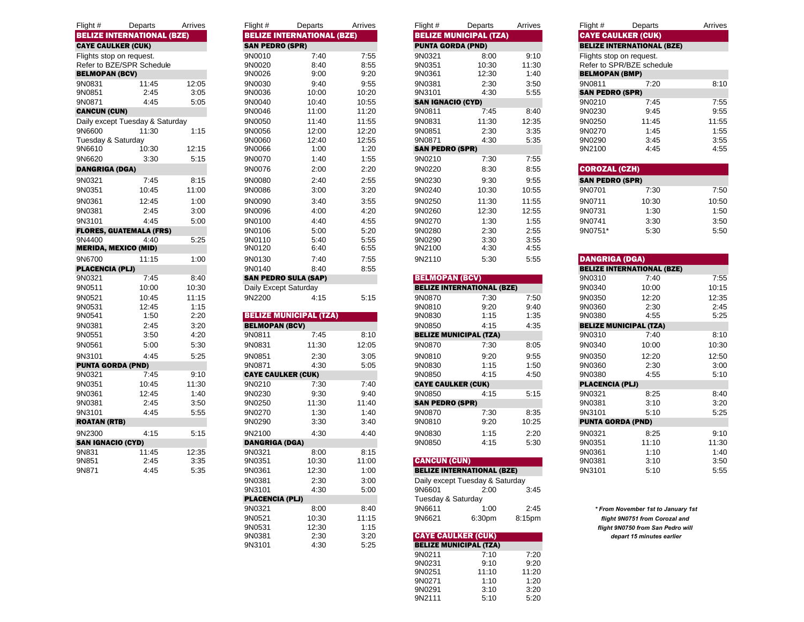| Flight #                  | Departs                           | Arrives | Flight #                  | Departs                           | Arrives | Flight $#$                | Departs                           | Arrives | Flight #                 | Departs                           | Arrives |
|---------------------------|-----------------------------------|---------|---------------------------|-----------------------------------|---------|---------------------------|-----------------------------------|---------|--------------------------|-----------------------------------|---------|
|                           | <b>BELIZE INTERNATIONAL (BZE)</b> |         |                           | <b>BELIZE INTERNATIONAL (BZE)</b> |         |                           | <b>BELIZE MUNICIPAL (TZA)</b>     |         |                          | <b>CAYE CAULKER (CUK)</b>         |         |
| <b>CAYE CAULKER (CUK)</b> |                                   |         | <b>SAN PEDRO (SPR)</b>    |                                   |         | <b>PUNTA GORDA (PND)</b>  |                                   |         |                          | <b>BELIZE INTERNATIONAL (BZE)</b> |         |
|                           | Flights stop on request.          |         | 9N0010                    | 7:40                              | 7:55    | 9N0321                    | 8:00                              | 9:10    | Flights stop on request. |                                   |         |
|                           | Refer to BZE/SPR Schedule         |         | 9N0020                    | 8:40                              | 8:55    | 9N0351                    | 10:30                             | 11:30   |                          | Refer to SPR/BZE schedule         |         |
| <b>BELMOPAN (BCV)</b>     |                                   |         | 9N0026                    | 9:00                              | 9:20    | 9N0361                    | 12:30                             | 1:40    | <b>BELMOPAN (BMP)</b>    |                                   |         |
| 9N0831                    | 11:45                             | 12:05   | 9N0030                    | 9:40                              | 9:55    | 9N0381                    | 2:30                              | 3:50    | 9N0811                   | 7:20                              | 8:10    |
| 9N0851                    | 2:45                              | 3:05    | 9N0036                    | 10:00                             | 10:20   | 9N3101                    | 4:30                              | 5:55    | <b>SAN PEDRO (SPR)</b>   |                                   |         |
| 9N0871                    | 4:45                              | 5:05    | 9N0040                    | 10:40                             | 10:55   | <b>SAN IGNACIO (CYD)</b>  |                                   |         | 9N0210                   | 7:45                              | 7:55    |
| <b>CANCUN (CUN)</b>       |                                   |         | 9N0046                    | 11:00                             | 11:20   | 9N0811                    | 7:45                              | 8:40    | 9N0230                   | 9:45                              | 9:55    |
|                           | Daily except Tuesday & Saturday   |         | 9N0050                    | 11:40                             | 11:55   | 9N0831                    | 11:30                             | 12:35   | 9N0250                   | 11:45                             | 11:55   |
| 9N6600                    | 11:30                             | 1:15    | 9N0056                    | 12:00                             | 12:20   | 9N0851                    | 2:30                              | 3:35    | 9N0270                   | 1:45                              | 1:55    |
| Tuesday & Saturday        |                                   |         | 9N0060                    | 12:40                             | 12:55   | 9N0871                    | 4:30                              | 5:35    | 9N0290                   | 3:45                              | 3:55    |
| 9N6610                    | 10:30                             | 12:15   | 9N0066                    | 1:00                              | 1:20    | <b>SAN PEDRO (SPR)</b>    |                                   |         | 9N2100                   | 4:45                              | 4:55    |
| 9N6620                    | 3:30                              | 5:15    | 9N0070                    | 1:40                              | 1:55    | 9N0210                    | 7:30                              | 7:55    |                          |                                   |         |
| <b>DANGRIGA (DGA)</b>     |                                   |         | 9N0076                    | 2:00                              | 2:20    | 9N0220                    | 8:30                              | 8:55    | <b>COROZAL (CZH)</b>     |                                   |         |
| 9N0321                    | 7:45                              | 8:15    | 9N0080                    | 2:40                              | 2:55    | 9N0230                    | 9:30                              | 9:55    | <b>SAN PEDRO (SPR)</b>   |                                   |         |
| 9N0351                    | 10:45                             | 11:00   | 9N0086                    | 3:00                              | 3:20    | 9N0240                    | 10:30                             | 10:55   | 9N0701                   | 7:30                              | 7:50    |
| 9N0361                    | 12:45                             | 1:00    | 9N0090                    | 3:40                              | 3:55    | 9N0250                    | 11:30                             | 11:55   | 9N0711                   | 10:30                             | 10:50   |
| 9N0381                    | 2:45                              | 3:00    | 9N0096                    | 4:00                              | 4:20    | 9N0260                    | 12:30                             | 12:55   | 9N0731                   | 1:30                              | 1:50    |
| 9N3101                    | 4:45                              | 5:00    | 9N0100                    | 4:40                              | 4:55    | 9N0270                    | 1:30                              | 1:55    | 9N0741                   | 3:30                              | 3:50    |
|                           | <b>FLORES, GUATEMALA (FRS)</b>    |         | 9N0106                    | 5:00                              | 5:20    | 9N0280                    | 2:30                              | 2:55    | 9N0751*                  | 5:30                              | 5:50    |
| 9N4400                    | 4:40                              | 5:25    | 9N0110                    | 5:40                              | 5:55    | 9N0290                    | 3:30                              | 3:55    |                          |                                   |         |
|                           | <b>MERIDA, MEXICO (MID)</b>       |         | 9N0120                    | 6:40                              | 6:55    | 9N2100                    | 4:30                              | 4:55    |                          |                                   |         |
| 9N6700                    | 11:15                             | 1:00    | 9N0130                    | 7:40                              | 7:55    | 9N2110                    | 5:30                              | 5:55    | <b>DANGRIGA (DGA)</b>    |                                   |         |
| <b>PLACENCIA (PLJ)</b>    |                                   |         | 9N0140                    | 8:40                              | 8:55    |                           |                                   |         |                          | <b>BELIZE INTERNATIONAL (BZE)</b> |         |
| 9N0321                    | 7:45                              | 8:40    |                           | <b>SAN PEDRO SULA (SAP)</b>       |         | <b>BELMOPAN (BCV)</b>     |                                   |         | 9N0310                   | 7:40                              | 7:55    |
| 9N0511                    | 10:00                             | 10:30   | Daily Except Saturday     |                                   |         |                           | <b>BELIZE INTERNATIONAL (BZE)</b> |         | 9N0340                   | 10:00                             | 10:15   |
| 9N0521                    | 10:45                             | 11:15   | 9N2200                    | 4:15                              | 5:15    | 9N0870                    | 7:30                              | 7:50    | 9N0350                   | 12:20                             | 12:35   |
| 9N0531                    | 12:45                             | 1:15    |                           |                                   |         | 9N0810                    | 9:20                              | 9:40    | 9N0360                   | 2:30                              | 2:45    |
| 9N0541                    | 1:50                              | 2:20    |                           | <b>BELIZE MUNICIPAL (TZA)</b>     |         | 9N0830                    | 1:15                              | 1:35    | 9N0380                   | 4:55                              | 5:25    |
| 9N0381                    | 2:45                              | 3:20    | <b>BELMOPAN (BCV)</b>     |                                   |         | 9N0850                    | 4:15                              | 4:35    |                          | <b>BELIZE MUNICIPAL (TZA)</b>     |         |
| 9N0551                    | 3:50                              | 4:20    | 9N0811                    | 7:45                              | 8:10    |                           | <b>BELIZE MUNICIPAL (TZA)</b>     |         | 9N0310                   | 7:40                              | 8:10    |
| 9N0561                    | 5:00                              | 5:30    | 9N0831                    | 11:30                             | 12:05   | 9N0870                    | 7:30                              | 8:05    | 9N0340                   | 10:00                             | 10:30   |
| 9N3101                    | 4:45                              | 5:25    | 9N0851                    | 2:30                              | 3:05    | 9N0810                    | 9:20                              | 9:55    | 9N0350                   | 12:20                             | 12:50   |
| <b>PUNTA GORDA (PND)</b>  |                                   |         | 9N0871                    | 4:30                              | 5:05    | 9N0830                    | 1:15                              | 1:50    | 9N0360                   | 2:30                              | 3:00    |
| 9N0321                    | 7:45                              | 9:10    | <b>CAYE CAULKER (CUK)</b> |                                   |         | 9N0850                    | 4:15                              | 4:50    | 9N0380                   | 4:55                              | 5:10    |
| 9N0351                    | 10:45                             | 11:30   | 9N0210                    | 7:30                              | 7:40    | <b>CAYE CAULKER (CUK)</b> |                                   |         | <b>PLACENCIA (PLJ)</b>   |                                   |         |
| 9N0361                    | 12:45                             | 1:40    | 9N0230                    | 9:30                              | 9:40    | 9N0850                    | 4:15                              | 5:15    | 9N0321                   | 8:25                              | 8:40    |
| 9N0381                    | 2:45                              | 3:50    | 9N0250                    | 11:30                             | 11:40   | <b>SAN PEDRO (SPR)</b>    |                                   |         | 9N0381                   | 3:10                              | 3:20    |
| 9N3101                    | 4:45                              | 5:55    | 9N0270                    | 1:30                              | 1:40    | 9N0870                    | 7:30                              | 8:35    | 9N3101                   | 5:10                              | 5:25    |
| <b>ROATAN (RTB)</b>       |                                   |         | 9N0290                    | 3:30                              | 3:40    | 9N0810                    | 9:20                              | 10:25   | <b>PUNTA GORDA (PND)</b> |                                   |         |
| 9N2300                    | 4:15                              | 5:15    | 9N2100                    | 4:30                              | 4:40    | 9N0830                    | 1:15                              | 2:20    | 9N0321                   | 8:25                              | 9:10    |
| <b>SAN IGNACIO (CYD)</b>  |                                   |         | <b>DANGRIGA (DGA)</b>     |                                   |         | 9N0850                    | 4:15                              | 5:30    | 9N0351                   | 11:10                             | 11:30   |
| 9N831                     | 11:45                             | 12:35   | 9N0321                    | 8:00                              | 8:15    |                           |                                   |         | 9N0361                   | 1:10                              | 1:40    |
| 9N851                     | 2:45                              | 3:35    | 9N0351                    | 10:30                             | 11:00   | <b>CANCUN (CUN)</b>       |                                   |         | 9N0381                   | 3:10                              | 3:50    |
| 9N871                     | 4:45                              | 5:35    | 9N0361                    | 12:30                             | 1:00    |                           | <b>BELIZE INTERNATIONAL (BZE)</b> |         | 9N3101                   | 5:10                              | 5:55    |
|                           |                                   |         | <b>QN0381</b>             | 2.30                              | 3.00    |                           | Daily except Tuesday & Saturday   |         |                          |                                   |         |

| Flight #                            | Departs                           | Arrives        | Flight #                         | Departs                           | Ar     |
|-------------------------------------|-----------------------------------|----------------|----------------------------------|-----------------------------------|--------|
|                                     | <b>BELIZE INTERNATIONAL (BZE)</b> |                |                                  | <b>BELIZE MUNICIPAL (TZA)</b>     |        |
| <b>SAN PEDRO (SPR)</b>              |                                   |                | <b>PUNTA GORDA (PND)</b>         |                                   |        |
| 9N0010                              | 7:40                              | 7:55           | 9N0321                           | 8:00                              |        |
| 9N0020                              | 8:40                              | 8:55           | 9N0351                           | 10:30                             | 1      |
| 9N0026                              | 9:00                              | 9:20           | 9N0361                           | 12:30                             |        |
| 9N0030                              | 9:40                              | 9:55           | 9N0381                           | 2:30                              |        |
| 9N0036                              | 10:00                             | 10:20          | 9N3101                           | 4:30                              |        |
| 9N0040                              | 10:40                             | 10:55          | <b>SAN IGNACIO (CYD)</b>         |                                   |        |
| 9N0046<br>9N0050                    | 11:00<br>11:40                    | 11:20<br>11:55 | 9N0811<br>9N0831                 | 7:45<br>11:30                     |        |
| 9N0056                              | 12:00                             | 12:20          | 9N0851                           | 2:30                              |        |
| 9N0060                              | 12:40                             | 12:55          | 9N0871                           | 4:30                              |        |
| 9N0066                              | 1:00                              | 1:20           | <b>SAN PEDRO (SPR)</b>           |                                   |        |
| 9N0070                              | 1:40                              | 1:55           | 9N0210                           | 7:30                              |        |
| 9N0076                              | 2:00                              | 2:20           | 9N0220                           | 8:30                              |        |
| 9N0080                              | 2:40                              | 2:55           | 9N0230                           | 9:30                              |        |
| 9N0086                              | 3:00                              | 3:20           | 9N0240                           | 10:30                             | 1      |
|                                     |                                   |                |                                  |                                   |        |
| 9N0090<br>9N0096                    | 3:40<br>4:00                      | 3:55<br>4:20   | 9N0250<br>9N0260                 | 11:30<br>12:30                    | 1<br>1 |
| 9N0100                              | 4:40                              | 4:55           | 9N0270                           | 1:30                              |        |
| 9N0106                              | 5:00                              | 5:20           | 9N0280                           | 2:30                              |        |
| 9N0110                              | 5:40                              | 5:55           | 9N0290                           | 3:30                              |        |
| 9N0120                              | 6:40                              | 6:55           | 9N2100                           | 4:30                              |        |
| 9N0130                              | 7:40                              | 7:55           | 9N2110                           | 5:30                              |        |
| 9N0140                              | 8:40                              | 8:55           |                                  |                                   |        |
|                                     | <b>SAN PEDRO SULA (SAP)</b>       |                | <b>BELMOPAN (BCV)</b>            |                                   |        |
| Daily Except Saturday               |                                   |                |                                  | <b>BELIZE INTERNATIONAL (BZE)</b> |        |
| 9N2200                              | 4:15                              | 5:15           | 9N0870                           | 7:30                              |        |
|                                     |                                   |                | 9N0810                           | 9:20                              |        |
|                                     | <b>BELIZE MUNICIPAL (TZA)</b>     |                | 9N0830                           | 1:15                              |        |
| <b>BELMOPAN (BCV)</b>               |                                   |                | 9N0850                           | 4:15                              |        |
| 9N0811                              | 7:45                              | 8:10           |                                  | <b>BELIZE MUNICIPAL (TZA)</b>     |        |
| 9N0831                              | 11:30                             | 12:05          | 9N0870                           | 7:30                              |        |
| 9N0851                              | 2:30                              | 3:05           | 9N0810                           | 9:20                              |        |
| 9N0871                              | 4:30                              | 5:05           | 9N0830                           | 1:15                              |        |
| <b>CAYE CAULKER (CUK)</b><br>9N0210 | 7:30                              | 7:40           | 9N0850                           | 4:15                              |        |
|                                     |                                   |                | <b>CAYE CAULKER (CUK)</b>        |                                   |        |
| 9N0230<br>9N0250                    | 9:30<br>11:30                     | 9:40<br>11:40  | 9N0850<br><b>SAN PEDRO (SPR)</b> | 4:15                              |        |
| 9N0270                              | 1:30                              | 1:40           | 9N0870                           | 7:30                              |        |
| 9N0290                              | 3:30                              | 3:40           | 9N0810                           | 9:20                              | 1      |
| 9N2100                              | 4:30                              | 4:40           | 9N0830                           | 1:15                              |        |
| <b>DANGRIGA (DGA)</b>               |                                   |                | 9N0850                           | 4:15                              |        |
| 9N0321                              | 8:00                              | 8:15           |                                  |                                   |        |
| 9N0351                              | 10:30                             | 11:00          | <b>CANCUN (CUN)</b>              |                                   |        |
| 9N0361                              | 12:30                             | 1:00           |                                  | <b>BELIZE INTERNATIONAL (BZE)</b> |        |
| 9N0381                              | 2:30                              | 3:00           |                                  | Daily except Tuesday & Saturday   |        |
| 9N3101                              | 4:30                              | 5:00           | 9N6601                           | 2:00                              |        |
| <b>PLACENCIA (PLJ)</b>              |                                   |                | Tuesday & Saturday               |                                   |        |
| 9N0321                              | 8:00                              | 8:40           | 9N6611                           | 1:00                              |        |
| 9N0521                              | 10:30                             | 11:15          | 9N6621                           | 6:30pm                            | 8:1    |
| 9N0531                              | 12:30                             | 1:15           |                                  |                                   |        |
| 9N0381                              | 2:30                              | 3:20           | <b>CAYE CAULKER (CUK)</b>        |                                   |        |
| 9N3101                              | 4:30                              | 5:25           |                                  | <b>BELIZE MUNICIPAL (TZA)</b>     |        |

| Flight #                  | Departs                           | Arrives | Flight $#$                | Departs                           | Arrives | Flight #                  | Departs                            |
|---------------------------|-----------------------------------|---------|---------------------------|-----------------------------------|---------|---------------------------|------------------------------------|
|                           | <b>BELIZE INTERNATIONAL (BZE)</b> |         |                           | <b>BELIZE MUNICIPAL (TZA)</b>     |         | <b>CAYE CAULKER (CUK)</b> |                                    |
| <b>SAN PEDRO (SPR)</b>    |                                   |         | <b>PUNTA GORDA (PND)</b>  |                                   |         |                           | <b>BELIZE INTERNATIONAL (BZE)</b>  |
| 9N0010                    | 7:40                              | 7:55    | 9N0321                    | 8:00                              | 9:10    | Flights stop on request.  |                                    |
| 9N0020                    | 8:40                              | 8:55    | 9N0351                    | 10:30                             | 11:30   |                           | Refer to SPR/BZE schedule          |
| 9N0026                    | 9:00                              | 9:20    | 9N0361                    | 12:30                             | 1:40    | <b>BELMOPAN (BMP)</b>     |                                    |
| 9N0030                    | 9:40                              | 9:55    | 9N0381                    | 2:30                              | 3:50    | 9N0811                    | 7:20                               |
| 9N0036                    | 10:00                             | 10:20   | 9N3101                    | 4:30                              | 5:55    | <b>SAN PEDRO (SPR)</b>    |                                    |
| 9N0040                    | 10:40                             | 10:55   | <b>SAN IGNACIO (CYD)</b>  |                                   |         | 9N0210                    | 7:45                               |
| 9N0046                    | 11:00                             | 11:20   | 9N0811                    | 7:45                              | 8:40    | 9N0230                    | 9:45                               |
| 9N0050                    | 11:40                             | 11:55   | 9N0831                    | 11:30                             | 12:35   | 9N0250                    | 11:45                              |
| 9N0056                    | 12:00                             | 12:20   | 9N0851                    | 2:30                              | 3:35    | 9N0270                    | 1:45                               |
| 9N0060                    | 12:40                             | 12:55   | 9N0871                    | 4:30                              | 5:35    | 9N0290                    | 3:45                               |
| 9N0066                    | 1:00                              | 1:20    | <b>SAN PEDRO (SPR)</b>    |                                   |         | 9N2100                    | 4:45                               |
| 9N0070                    | 1:40                              | 1:55    | 9N0210                    | 7:30                              | 7:55    |                           |                                    |
| 9N0076                    | 2:00                              | 2:20    | 9N0220                    | 8:30                              | 8:55    | <b>COROZAL (CZH)</b>      |                                    |
| 9N0080                    | 2:40                              | 2:55    | 9N0230                    | 9:30                              | 9:55    | <b>SAN PEDRO (SPR)</b>    |                                    |
| 9N0086                    | 3:00                              | 3:20    | 9N0240                    | 10:30                             | 10:55   | 9N0701                    | 7:30                               |
| 9N0090                    | 3:40                              | 3:55    | 9N0250                    | 11:30                             | 11:55   | 9N0711                    | 10:30                              |
| 9N0096                    | 4:00                              | 4:20    | 9N0260                    | 12:30                             | 12:55   | 9N0731                    | 1:30                               |
| 9N0100                    | 4:40                              | 4:55    | 9N0270                    | 1:30                              | 1:55    | 9N0741                    | 3:30                               |
| 9N0106                    | 5:00                              | 5:20    | 9N0280                    | 2:30                              | 2:55    | 9N0751*                   | 5:30                               |
| 9N0110                    | 5:40                              | 5:55    | 9N0290                    | 3:30                              | 3:55    |                           |                                    |
| 9N0120                    | 6:40                              | 6:55    | 9N2100                    | 4:30                              | 4:55    |                           |                                    |
| 9N0130                    | 7:40                              | 7:55    | 9N2110                    | 5:30                              | 5:55    | <b>DANGRIGA (DGA)</b>     |                                    |
| 9N0140                    | 8:40                              | 8:55    |                           |                                   |         |                           | <b>BELIZE INTERNATIONAL (BZE)</b>  |
|                           | SAN PEDRO SULA (SAP)              |         | <b>BELMOPAN (BCV)</b>     |                                   |         | 9N0310                    | 7:40                               |
| Daily Except Saturday     |                                   |         |                           | <b>BELIZE INTERNATIONAL (BZE)</b> |         | 9N0340                    | 10:00                              |
| 9N2200                    | 4:15                              | 5:15    | 9N0870                    | 7:30                              | 7:50    | 9N0350                    | 12:20                              |
|                           |                                   |         | 9N0810                    | 9:20                              | 9:40    | 9N0360                    | 2:30                               |
|                           | <b>BELIZE MUNICIPAL (TZA)</b>     |         | 9N0830                    | 1:15                              | 1:35    | 9N0380                    | 4:55                               |
| <b>BELMOPAN (BCV)</b>     |                                   |         | 9N0850                    | 4:15                              | 4:35    |                           | <b>BELIZE MUNICIPAL (TZA)</b>      |
| 9N0811                    | 7:45                              | 8:10    |                           | <b>BELIZE MUNICIPAL (TZA)</b>     |         | 9N0310                    | 7:40                               |
| 9N0831                    | 11:30                             | 12:05   | 9N0870                    | 7:30                              | 8:05    | 9N0340                    | 10:00                              |
| 9N0851                    | 2:30                              | 3:05    | 9N0810                    | 9:20                              | 9:55    | 9N0350                    | 12:20                              |
| 9N0871                    | 4:30                              | 5:05    | 9N0830                    | 1:15                              | 1:50    | 9N0360                    | 2:30                               |
| <b>CAYE CAULKER (CUK)</b> |                                   |         | 9N0850                    | 4:15                              | 4:50    | 9N0380                    | 4:55                               |
| 9N0210                    | 7:30                              | 7:40    | <b>CAYE CAULKER (CUK)</b> |                                   |         | <b>PLACENCIA (PLJ)</b>    |                                    |
| 9N0230                    | 9:30                              | 9:40    | 9N0850                    | 4:15                              | 5:15    | 9N0321                    | 8:25                               |
| 9N0250                    | 11:30                             | 11:40   | <b>SAN PEDRO (SPR)</b>    |                                   |         | 9N0381                    | 3:10                               |
| 9N0270                    | 1:30                              | 1:40    | 9N0870                    | 7:30                              | 8:35    | 9N3101                    | 5:10                               |
| 9N0290                    | 3:30                              | 3:40    | 9N0810                    | 9:20                              | 10:25   | <b>PUNTA GORDA (PND)</b>  |                                    |
| 9N2100                    | 4:30                              | 4:40    | 9N0830                    | 1:15                              | 2:20    | 9N0321                    | 8:25                               |
| <b>DANGRIGA (DGA)</b>     |                                   |         | 9N0850                    | 4:15                              | 5:30    | 9N0351                    | 11:10                              |
| 9N0321                    | 8:00                              | 8:15    |                           |                                   |         | 9N0361                    | 1:10                               |
| 9N0351                    | 10:30                             | 11:00   | <b>CANCUN (CUN)</b>       |                                   |         | 9N0381                    | 3:10                               |
| 9N0361                    | 12:30                             | 1:00    |                           | <b>BELIZE INTERNATIONAL (BZE)</b> |         | 9N3101                    | 5:10                               |
| 9N0381                    | 2:30                              | 3:00    |                           | Daily except Tuesday & Saturday   |         |                           |                                    |
| 9N3101                    | 4:30                              | 5:00    | 9N6601                    | 2:00                              | 3:45    |                           |                                    |
| PLACENCIA (PLJ)           |                                   |         | Tuesday & Saturday        |                                   |         |                           |                                    |
| 9N0321                    | 8:00                              | 8:40    | 9N6611                    | 1:00                              | 2:45    |                           | * From November 1st to January 1st |
| 9N0521                    | 10:30                             | 11:15   | 9N6621                    | 6:30pm                            | 8:15pm  |                           | flight 9N0751 from Corozal and     |
| 9N0531                    | 12:30                             | 1:15    |                           |                                   |         |                           | flight 9N0750 from San Pedro will  |
| 9N0381                    | 2:30                              | 3:20    |                           | <b>CAYE CAULKER (CUK)</b>         |         |                           | depart 15 minutes earlier          |
| 9N3101                    | 4:30                              | 5:25    |                           | <b>BELIZE MUNICIPAL (TZA)</b>     |         |                           |                                    |
|                           |                                   |         | 9N0211                    | 7:10                              | 7:20    |                           |                                    |
|                           |                                   |         | 9N0231                    | 9:10                              | 9:20    |                           |                                    |
|                           |                                   |         | 9N0251                    | 11:10                             | 11:20   |                           |                                    |
|                           |                                   |         | 9N0271                    | 1:10                              | 1:20    |                           |                                    |
|                           |                                   |         | 9N0291                    | 3:10                              | 3:20    |                           |                                    |

9N0291 3:10 3:20<br>9N2111 5:10 5:20

9N2111

| Flight #                  | Departs<br><b>BELIZE INTERNATIONAL (BZE)</b> | Arrives | Flight #                    | Departs<br><b>BELIZE INTERNATIONAL (BZE)</b> | Arrives      | Flight #                      | Departs<br><b>BELIZE MUNICIPAL (TZA)</b> | Arrives       | Flight $#$<br><b>CAYE CAULKER (CUK)</b> | Departs                           | Arrives |
|---------------------------|----------------------------------------------|---------|-----------------------------|----------------------------------------------|--------------|-------------------------------|------------------------------------------|---------------|-----------------------------------------|-----------------------------------|---------|
| <b>CAYE CAULKER (CUK)</b> |                                              |         | <b>SAN PEDRO (SPR)</b>      |                                              |              | <b>PUNTA GORDA (PND)</b>      |                                          |               |                                         | <b>BELIZE INTERNATIONAL (BZE)</b> |         |
|                           |                                              |         |                             |                                              |              |                               |                                          |               |                                         |                                   |         |
| Flights stop on request.  | Refer to BZE/SPR Schedule                    |         | 9N0010<br>9N0020            | 7:40<br>8:40                                 | 7:55<br>8:55 | 9N0321<br>9N0351              | 8:00<br>10:30                            | 9:10<br>11:30 | Flights stop on request.                | Refer to SPR/BZE schedule         |         |
| BELMOPAN (BCV)            |                                              |         | 9N0026                      | 9:00                                         | 9:20         | 9N0361                        | 12:30                                    | 1:40          | <b>BELMOPAN (BMP)</b>                   |                                   |         |
| 9N0831                    | 11:45                                        | 12:05   | 9N0030                      | 9:40                                         | 9:55         | 9N0381                        | 2:30                                     | 3:50          | 9N0811                                  | 7:20                              | 8:10    |
| 9N0851                    | 2:45                                         | 3:05    | 9N0036                      | 10:00                                        | 10:20        | 9N3101                        | 4:30                                     | 5:55          | <b>SAN PEDRO (SPR)</b>                  |                                   |         |
| 9N0871                    | 4:45                                         | 5:05    | 9N0040                      | 10:40                                        | 10:55        | <b>SAN IGNACIO (CYD)</b>      |                                          |               | 9N0210                                  | 7:45                              | 7:55    |
| <b>CANCUN (CUN)</b>       |                                              |         | 9N0046                      | 11:00                                        | 11:20        | 9N0811                        | 7:45                                     | 8:40          | 9N0230                                  | 9:45                              | 9:55    |
|                           | Daily except Tuesday & Saturday              |         | 9N0050                      | 11:40                                        | 11:55        | 9N0831                        | 11:30                                    | 12:35         | 9N0250                                  | 11:45                             | 11:55   |
| 9N6600                    | 11:30                                        | 1:15    | 9N0056                      | 12:00                                        | 12:20        | 9N0851                        | 2:30                                     | 3:35          | 9N0270                                  | 1:45                              | 1:55    |
| Tuesdav & Saturdav        |                                              |         | 9N0060                      | 12:40                                        | 12:55        | 9N0871                        | 4:30                                     | 5:35          | 9N0290                                  | 3:45                              | 3:55    |
| 9N6610                    | 10:30                                        | 12:15   | 9N0066                      | 1:00                                         | 1:20         | <b>SAN PEDRO (SPR)</b>        |                                          |               | 9N2100                                  | 4:45                              | 4:55    |
| 9N6620                    | 3:30                                         | 5:15    | 9N0070                      | 1:40                                         | 1:55         | 9N0210                        | 7:30                                     | 7:55          |                                         |                                   |         |
| DANGRIGA (DGA)            |                                              |         | 9N0076                      | 2:00                                         | 2:20         | 9N0220                        | 8:30                                     | 8:55          | <b>COROZAL (CZH)</b>                    |                                   |         |
|                           |                                              |         |                             |                                              |              |                               |                                          |               |                                         |                                   |         |
| 9N0321                    | 7:45                                         | 8:15    | 9N0080                      | 2:40                                         | 2:55         | 9N0230                        | 9:30                                     | 9:55          | <b>SAN PEDRO (SPR)</b>                  |                                   |         |
| 9N0351                    | 10:45                                        | 11:00   | 9N0086                      | 3:00                                         | 3:20         | 9N0240                        | 10:30                                    | 10:55         | 9N0701                                  | 7:30                              | 7:50    |
| 9N0361                    | 12:45                                        | 1:00    | 9N0090                      | 3:40                                         | 3:55         | 9N0250                        | 11:30                                    | 11:55         | 9N0711                                  | 10:30                             | 10:50   |
| 9N0381                    | 2:45                                         | 3:00    | 9N0096                      | 4:00                                         | 4:20         | 9N0260                        | 12:30                                    | 12:55         | 9N0731                                  | 1:30                              | 1:50    |
| 9N3101                    | 4:45                                         | 5:00    | 9N0100                      | 4:40                                         | 4:55         | 9N0270                        | 1:30                                     | 1:55          | 9N0741                                  | 3:30                              | 3:50    |
|                           | FLORES, GUATEMALA (FRS)                      |         | 9N0106                      | 5:00                                         | 5:20         | 9N0280                        | 2:30                                     | 2:55          | 9N0751*                                 | 5:30                              | 5:50    |
| 9N4400                    | 4:40                                         | 5:25    | 9N0110                      | 5:40                                         | 5:55         | 9N0290                        | 3:30                                     | 3:55          |                                         |                                   |         |
| MERIDA, MEXICO (MID)      |                                              |         | 9N0120                      | 6:40                                         | 6:55         | 9N2100                        | 4:30                                     | 4:55          |                                         |                                   |         |
| 9N6700                    | 11:15                                        | 1:00    | 9N0130                      | 7:40                                         | 7:55         | 9N2110                        | 5:30                                     | 5:55          | <b>DANGRIGA (DGA)</b>                   |                                   |         |
| PLACENCIA (PLJ)           |                                              |         | 9N0140                      | 8:40                                         | 8:55         |                               |                                          |               |                                         | <b>BELIZE INTERNATIONAL (BZE)</b> |         |
| 9N0321                    | 7:45                                         | 8:40    | <b>SAN PEDRO SULA (SAP)</b> |                                              |              | <b>BELMOPAN (BCV)</b>         |                                          |               | 9N0310                                  | 7:40                              | 7:55    |
| 9N0511                    | 10:00                                        | 10:30   | Daily Except Saturday       |                                              |              |                               | <b>BELIZE INTERNATIONAL (BZE)</b>        |               | 9N0340                                  | 10:00                             | 10:15   |
| 9N0521                    | 10:45                                        | 11:15   | 9N2200                      | 4:15                                         | 5:15         | 9N0870                        | 7:30                                     | 7:50          | 9N0350                                  | 12:20                             | 12:35   |
| 9N0531                    | 12:45                                        | 1:15    |                             |                                              |              | 9N0810                        | 9:20                                     | 9:40          | 9N0360                                  | 2:30                              | 2:45    |
| 9N0541                    | 1:50                                         | 2:20    |                             | <b>BELIZE MUNICIPAL (TZA)</b>                |              | 9N0830                        | 1:15                                     | 1:35          | 9N0380                                  | 4:55                              | 5:25    |
| 9N0381                    | 2:45                                         | 3:20    | <b>BELMOPAN (BCV)</b>       |                                              |              | 9N0850                        | 4:15                                     | 4:35          | <b>BELIZE MUNICIPAL (TZA)</b>           |                                   |         |
| 9N0551                    | 3:50                                         | 4:20    | 9N0811                      | 7:45                                         | 8:10         | <b>BELIZE MUNICIPAL (TZA)</b> |                                          |               | 9N0310                                  | 7:40                              | 8:10    |
| 9N0561                    | 5:00                                         | 5:30    | 9N0831                      | 11:30                                        | 12:05        | 9N0870                        | 7:30                                     | 8:05          | 9N0340                                  | 10:00                             | 10:30   |
| 9N3101                    | 4:45                                         | 5:25    | 9N0851                      | 2:30                                         | 3:05         | 9N0810                        | 9:20                                     | 9:55          | 9N0350                                  | 12:20                             | 12:50   |
| PUNTA GORDA (PND)         |                                              |         | 9N0871                      | 4:30                                         | 5:05         | 9N0830                        | 1:15                                     | 1:50          | 9N0360                                  | 2:30                              | 3:00    |
| 9N0321                    | 7:45                                         | 9:10    | <b>CAYE CAULKER (CUK)</b>   |                                              |              | 9N0850                        | 4:15                                     | 4:50          | 9N0380                                  | 4:55                              | 5:10    |
| 9N0351                    | 10:45                                        | 11:30   | 9N0210                      | 7:30                                         | 7:40         | <b>CAYE CAULKER (CUK)</b>     |                                          |               | <b>PLACENCIA (PLJ)</b>                  |                                   |         |
| 9N0361                    | 12:45                                        | 1:40    | 9N0230                      | 9:30                                         | 9:40         | 9N0850                        | 4:15                                     | 5:15          | 9N0321                                  | 8:25                              | 8:40    |
| 9N0381                    | 2:45                                         | 3:50    | 9N0250                      | 11:30                                        | 11:40        | <b>SAN PEDRO (SPR)</b>        |                                          |               | 9N0381                                  | 3:10                              | 3:20    |
| 9N3101                    | 4:45                                         | 5:55    | 9N0270                      | 1:30                                         | 1:40         | 9N0870                        | 7:30                                     | 8:35          | 9N3101                                  | 5:10                              | 5:25    |
| ROATAN (RTB)              |                                              |         | 9N0290                      | 3:30                                         | 3:40         | 9N0810                        | 9:20                                     | 10:25         | <b>PUNTA GORDA (PND)</b>                |                                   |         |
| 9N2300                    | 4:15                                         | 5:15    | 9N2100                      | 4:30                                         | 4:40         | 9N0830                        | 1:15                                     | 2:20          | 9N0321                                  | 8:25                              | 9:10    |
| SAN IGNACIO (CYD)         |                                              |         | <b>DANGRIGA (DGA)</b>       |                                              |              | 9N0850                        | 4:15                                     | 5:30          | 9N0351                                  | 11:10                             | 11:30   |
| 9N831                     | 11:45                                        | 12:35   | 9N0321                      | 8:00                                         | 8:15         |                               |                                          |               | 9N0361                                  | 1:10                              | 1:40    |
| 9N851                     | 2.45                                         | 3.35    | 9N0351                      | 10:30                                        | 11.00        | <b>CANCUN (CUN)</b>           |                                          |               | 9N0381                                  | 3:10                              | 3:50    |